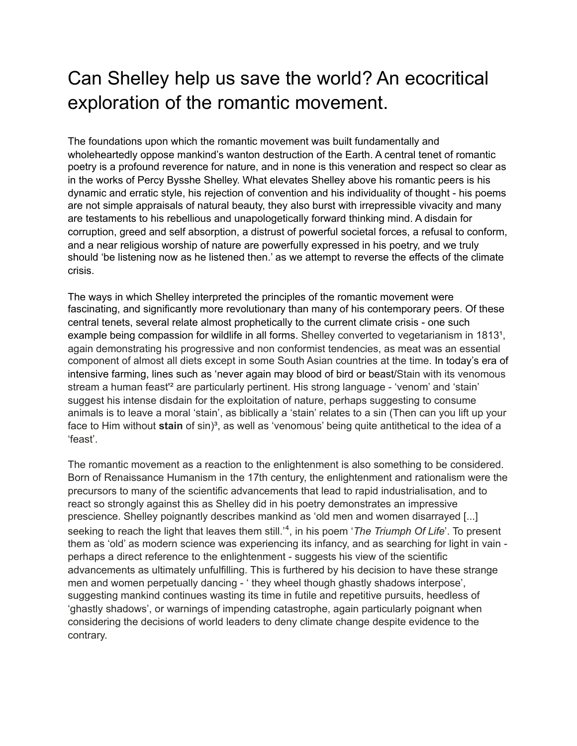## Can Shelley help us save the world? An ecocritical exploration of the romantic movement.

The foundations upon which the romantic movement was built fundamentally and wholeheartedly oppose mankind's wanton destruction of the Earth. A central tenet of romantic poetry is a profound reverence for nature, and in none is this veneration and respect so clear as in the works of Percy Bysshe Shelley. What elevates Shelley above his romantic peers is his dynamic and erratic style, his rejection of convention and his individuality of thought - his poems are not simple appraisals of natural beauty, they also burst with irrepressible vivacity and many are testaments to his rebellious and unapologetically forward thinking mind. A disdain for corruption, greed and self absorption, a distrust of powerful societal forces, a refusal to conform, and a near religious worship of nature are powerfully expressed in his poetry, and we truly should 'be listening now as he listened then.' as we attempt to reverse the effects of the climate crisis.

The ways in which Shelley interpreted the principles of the romantic movement were fascinating, and significantly more revolutionary than many of his contemporary peers. Of these central tenets, several relate almost prophetically to the current climate crisis - one such example being compassion for wildlife in all forms. Shelley converted to vegetarianism in 1813<sup>1</sup>, again demonstrating his progressive and non conformist tendencies, as meat was an essential component of almost all diets except in some South Asian countries at the time. In today's era of intensive farming, lines such as 'never again may blood of bird or beast/Stain with its venomous stream a human feast'² are particularly pertinent. His strong language - 'venom' and 'stain' suggest his intense disdain for the exploitation of nature, perhaps suggesting to consume animals is to leave a moral 'stain', as biblically a 'stain' relates to a sin (Then can you lift up your face to Him without **stain** of sin)<sup>3</sup>, as well as 'venomous' being quite antithetical to the idea of a 'feast'.

The romantic movement as a reaction to the enlightenment is also something to be considered. Born of Renaissance Humanism in the 17th century, the enlightenment and rationalism were the precursors to many of the scientific advancements that lead to rapid industrialisation, and to react so strongly against this as Shelley did in his poetry demonstrates an impressive prescience. Shelley poignantly describes mankind as 'old men and women disarrayed [...] seeking to reach the light that leaves them still.<sup>4</sup>, in his poem '*The Triumph Of Life*'. To present them as 'old' as modern science was experiencing its infancy, and as searching for light in vain perhaps a direct reference to the enlightenment - suggests his view of the scientific advancements as ultimately unfulfilling. This is furthered by his decision to have these strange men and women perpetually dancing - ' they wheel though ghastly shadows interpose', suggesting mankind continues wasting its time in futile and repetitive pursuits, heedless of 'ghastly shadows', or warnings of impending catastrophe, again particularly poignant when considering the decisions of world leaders to deny climate change despite evidence to the contrary.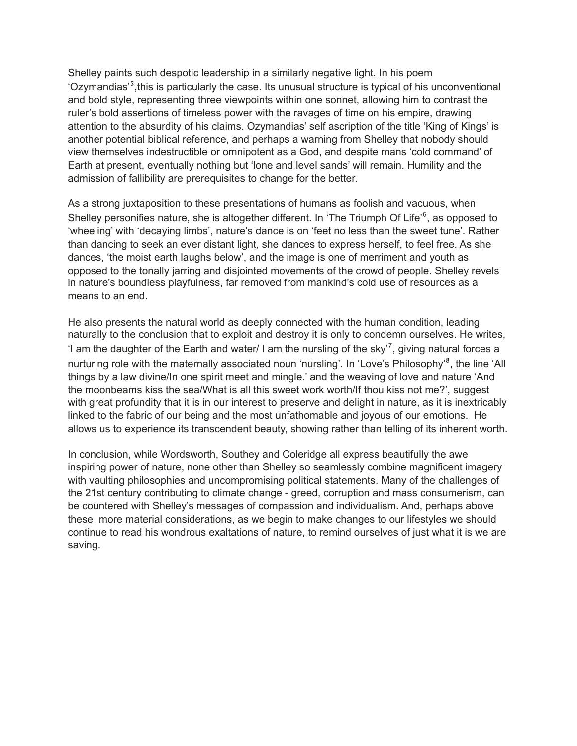Shelley paints such despotic leadership in a similarly negative light. In his poem 'Ozymandias'<sup>5</sup>, this is particularly the case. Its unusual structure is typical of his unconventional and bold style, representing three viewpoints within one sonnet, allowing him to contrast the ruler's bold assertions of timeless power with the ravages of time on his empire, drawing attention to the absurdity of his claims. Ozymandias' self ascription of the title 'King of Kings' is another potential biblical reference, and perhaps a warning from Shelley that nobody should view themselves indestructible or omnipotent as a God, and despite mans 'cold command' of Earth at present, eventually nothing but 'lone and level sands' will remain. Humility and the admission of fallibility are prerequisites to change for the better.

As a strong juxtaposition to these presentations of humans as foolish and vacuous, when Shelley personifies nature, she is altogether different. In 'The Triumph Of Life'<sup>6</sup>, as opposed to 'wheeling' with 'decaying limbs', nature's dance is on 'feet no less than the sweet tune'. Rather than dancing to seek an ever distant light, she dances to express herself, to feel free. As she dances, 'the moist earth laughs below', and the image is one of merriment and youth as opposed to the tonally jarring and disjointed movements of the crowd of people. Shelley revels in nature's boundless playfulness, far removed from mankind's cold use of resources as a means to an end.

He also presents the natural world as deeply connected with the human condition, leading naturally to the conclusion that to exploit and destroy it is only to condemn ourselves. He writes, 'I am the daughter of the Earth and water/ I am the nursling of the sky<sup>'7</sup>, giving natural forces a nurturing role with the maternally associated noun 'nursling'. In 'Love's Philosophy'<sup>8</sup>, the line 'All things by a law divine/In one spirit meet and mingle.' and the weaving of love and nature 'And the moonbeams kiss the sea/What is all this sweet work worth/If thou kiss not me?', suggest with great profundity that it is in our interest to preserve and delight in nature, as it is inextricably linked to the fabric of our being and the most unfathomable and joyous of our emotions. He allows us to experience its transcendent beauty, showing rather than telling of its inherent worth.

In conclusion, while Wordsworth, Southey and Coleridge all express beautifully the awe inspiring power of nature, none other than Shelley so seamlessly combine magnificent imagery with vaulting philosophies and uncompromising political statements. Many of the challenges of the 21st century contributing to climate change - greed, corruption and mass consumerism, can be countered with Shelley's messages of compassion and individualism. And, perhaps above these more material considerations, as we begin to make changes to our lifestyles we should continue to read his wondrous exaltations of nature, to remind ourselves of just what it is we are saving.